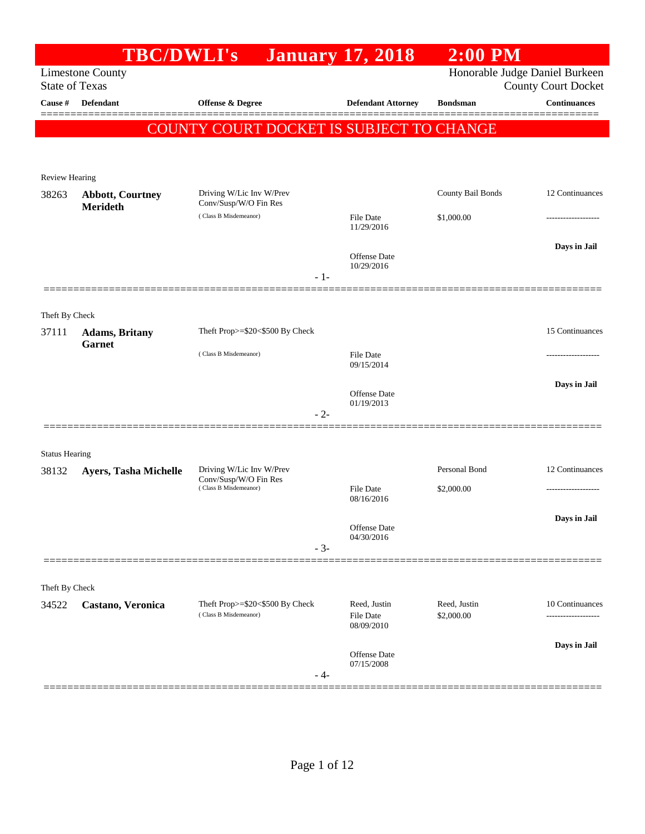|                       | <b>TBC/DWLI's</b>                          |                                                          | <b>January 17, 2018</b>        | $2:00$ PM                      |                                |
|-----------------------|--------------------------------------------|----------------------------------------------------------|--------------------------------|--------------------------------|--------------------------------|
|                       | <b>Limestone County</b>                    |                                                          |                                | Honorable Judge Daniel Burkeen |                                |
| <b>State of Texas</b> |                                            |                                                          |                                |                                | <b>County Court Docket</b>     |
| Cause #               | Defendant                                  | Offense & Degree                                         | <b>Defendant Attorney</b>      | <b>Bondsman</b>                | <b>Continuances</b><br>======= |
|                       |                                            | COUNTY COURT DOCKET IS SUBJECT TO CHANGE                 |                                |                                |                                |
|                       |                                            |                                                          |                                |                                |                                |
|                       |                                            |                                                          |                                |                                |                                |
| Review Hearing        |                                            |                                                          |                                |                                |                                |
| 38263                 | <b>Abbott, Courtney</b><br><b>Merideth</b> | Driving W/Lic Inv W/Prev<br>Conv/Susp/W/O Fin Res        |                                | County Bail Bonds              | 12 Continuances                |
|                       |                                            | (Class B Misdemeanor)                                    | File Date<br>11/29/2016        | \$1,000.00                     |                                |
|                       |                                            |                                                          |                                |                                |                                |
|                       |                                            |                                                          | Offense Date                   |                                | Days in Jail                   |
|                       |                                            | $-1-$                                                    | 10/29/2016                     |                                |                                |
|                       |                                            |                                                          |                                |                                |                                |
| Theft By Check        |                                            |                                                          |                                |                                |                                |
| 37111                 | <b>Adams</b> , Britany                     | Theft Prop>=\$20<\$500 By Check                          |                                |                                | 15 Continuances                |
|                       | <b>Garnet</b>                              | (Class B Misdemeanor)                                    | File Date                      |                                |                                |
|                       |                                            |                                                          | 09/15/2014                     |                                |                                |
|                       |                                            |                                                          |                                |                                | Days in Jail                   |
|                       |                                            |                                                          | Offense Date<br>01/19/2013     |                                |                                |
|                       |                                            | $-2-$                                                    |                                |                                |                                |
|                       |                                            |                                                          |                                |                                |                                |
| <b>Status Hearing</b> |                                            |                                                          |                                |                                |                                |
| 38132                 | Ayers, Tasha Michelle                      | Driving W/Lic Inv W/Prev<br>Conv/Susp/W/O Fin Res        |                                | Personal Bond                  | 12 Continuances                |
|                       |                                            | (Class B Misdemeanor)                                    | File Date<br>08/16/2016        | \$2,000.00                     |                                |
|                       |                                            |                                                          |                                |                                | Days in Jail                   |
|                       |                                            |                                                          | Offense Date<br>04/30/2016     |                                |                                |
|                       |                                            | $-3-$                                                    |                                |                                |                                |
|                       |                                            |                                                          |                                |                                |                                |
| Theft By Check        |                                            |                                                          |                                |                                |                                |
| 34522                 | Castano, Veronica                          | Theft Prop>=\$20<\$500 By Check<br>(Class B Misdemeanor) | Reed, Justin                   | Reed, Justin                   | 10 Continuances                |
|                       |                                            |                                                          | <b>File Date</b><br>08/09/2010 | \$2,000.00                     |                                |
|                       |                                            |                                                          |                                |                                | Days in Jail                   |
|                       |                                            |                                                          | Offense Date<br>07/15/2008     |                                |                                |
|                       |                                            | - 4-                                                     |                                |                                |                                |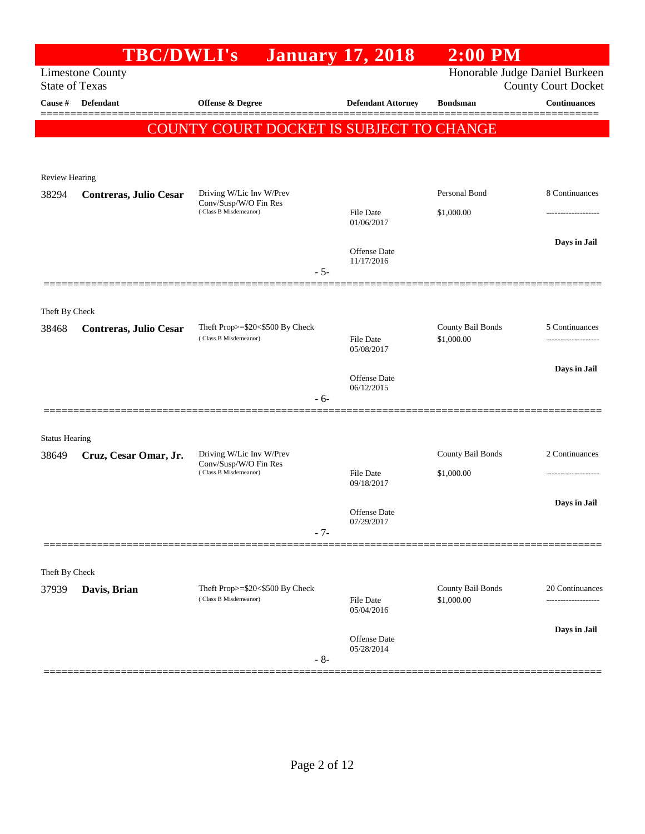|                                | <b>TBC/DWLI's</b>             |                                                          | <b>January 17, 2018</b>           | $2:00$ PM                       |                                |
|--------------------------------|-------------------------------|----------------------------------------------------------|-----------------------------------|---------------------------------|--------------------------------|
|                                | <b>Limestone County</b>       |                                                          |                                   |                                 | Honorable Judge Daniel Burkeen |
| <b>State of Texas</b>          |                               |                                                          |                                   |                                 | <b>County Court Docket</b>     |
| Cause #                        | <b>Defendant</b>              | <b>Offense &amp; Degree</b>                              | <b>Defendant Attorney</b>         | <b>Bondsman</b>                 | <b>Continuances</b>            |
|                                |                               | <b>COUNTY COURT DOCKET IS SUBJECT TO CHANGE</b>          |                                   |                                 |                                |
|                                |                               |                                                          |                                   |                                 |                                |
|                                |                               |                                                          |                                   |                                 |                                |
| <b>Review Hearing</b><br>38294 | Contreras, Julio Cesar        | Driving W/Lic Inv W/Prev                                 |                                   | Personal Bond                   | 8 Continuances                 |
|                                |                               | Conv/Susp/W/O Fin Res<br>(Class B Misdemeanor)           | File Date                         | \$1,000.00                      |                                |
|                                |                               |                                                          | 01/06/2017                        |                                 | .                              |
|                                |                               |                                                          |                                   |                                 | Days in Jail                   |
|                                |                               |                                                          | <b>Offense</b> Date<br>11/17/2016 |                                 |                                |
|                                |                               | $-5-$                                                    |                                   |                                 |                                |
|                                |                               |                                                          |                                   |                                 |                                |
| Theft By Check                 |                               |                                                          |                                   |                                 |                                |
| 38468                          | <b>Contreras, Julio Cesar</b> | Theft Prop>=\$20<\$500 By Check<br>(Class B Misdemeanor) | <b>File Date</b>                  | County Bail Bonds<br>\$1,000.00 | 5 Continuances<br>.            |
|                                |                               |                                                          | 05/08/2017                        |                                 |                                |
|                                |                               |                                                          | <b>Offense</b> Date               |                                 | Days in Jail                   |
|                                |                               |                                                          | 06/12/2015                        |                                 |                                |
|                                |                               | $-6-$                                                    |                                   |                                 |                                |
|                                |                               |                                                          |                                   |                                 |                                |
| <b>Status Hearing</b><br>38649 | Cruz, Cesar Omar, Jr.         | Driving W/Lic Inv W/Prev                                 |                                   | County Bail Bonds               | 2 Continuances                 |
|                                |                               | Conv/Susp/W/O Fin Res<br>(Class B Misdemeanor)           | File Date                         | \$1,000.00                      |                                |
|                                |                               |                                                          | 09/18/2017                        |                                 |                                |
|                                |                               |                                                          |                                   |                                 | Days in Jail                   |
|                                |                               |                                                          | <b>Offense</b> Date<br>07/29/2017 |                                 |                                |
|                                |                               | $-7-$                                                    |                                   |                                 |                                |
|                                |                               |                                                          |                                   |                                 |                                |
| Theft By Check                 |                               |                                                          |                                   |                                 |                                |
| 37939                          | Davis, Brian                  | Theft Prop>=\$20<\$500 By Check<br>(Class B Misdemeanor) | <b>File Date</b>                  | County Bail Bonds<br>\$1,000.00 | 20 Continuances<br>            |
|                                |                               |                                                          | 05/04/2016                        |                                 |                                |
|                                |                               |                                                          | Offense Date                      |                                 | Days in Jail                   |
|                                |                               | $-8-$                                                    | 05/28/2014                        |                                 |                                |
|                                |                               |                                                          |                                   |                                 |                                |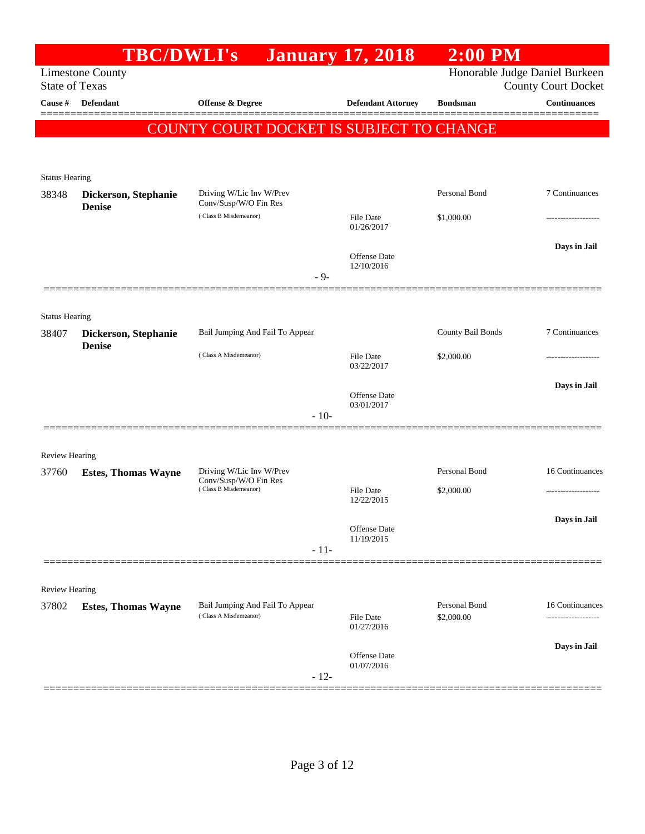|                       | <b>TBC/DWLI's</b>          |                                                   |        | <b>January 17, 2018</b>        | $2:00$ PM         |                                                              |
|-----------------------|----------------------------|---------------------------------------------------|--------|--------------------------------|-------------------|--------------------------------------------------------------|
| <b>State of Texas</b> | <b>Limestone County</b>    |                                                   |        |                                |                   | Honorable Judge Daniel Burkeen<br><b>County Court Docket</b> |
| Cause #               | Defendant                  | Offense & Degree                                  |        | <b>Defendant Attorney</b>      | <b>Bondsman</b>   | <b>Continuances</b>                                          |
|                       |                            | COUNTY COURT DOCKET IS SUBJECT TO CHANGE          |        |                                |                   |                                                              |
|                       |                            |                                                   |        |                                |                   |                                                              |
| <b>Status Hearing</b> |                            |                                                   |        |                                |                   |                                                              |
| 38348                 | Dickerson, Stephanie       | Driving W/Lic Inv W/Prev<br>Conv/Susp/W/O Fin Res |        |                                | Personal Bond     | 7 Continuances                                               |
|                       | <b>Denise</b>              | (Class B Misdemeanor)                             |        | <b>File Date</b><br>01/26/2017 | \$1,000.00        |                                                              |
|                       |                            |                                                   |        |                                |                   | Days in Jail                                                 |
|                       |                            |                                                   |        | Offense Date<br>12/10/2016     |                   |                                                              |
|                       |                            |                                                   | $-9-$  |                                |                   |                                                              |
| <b>Status Hearing</b> |                            |                                                   |        |                                |                   |                                                              |
| 38407                 | Dickerson, Stephanie       | Bail Jumping And Fail To Appear                   |        |                                | County Bail Bonds | 7 Continuances                                               |
|                       | <b>Denise</b>              | (Class A Misdemeanor)                             |        | <b>File Date</b>               | \$2,000.00        |                                                              |
|                       |                            |                                                   |        | 03/22/2017                     |                   | Days in Jail                                                 |
|                       |                            |                                                   |        | Offense Date<br>03/01/2017     |                   |                                                              |
|                       |                            |                                                   | $-10-$ |                                |                   |                                                              |
| <b>Review Hearing</b> |                            |                                                   |        |                                |                   |                                                              |
| 37760                 | <b>Estes, Thomas Wayne</b> | Driving W/Lic Inv W/Prev                          |        |                                | Personal Bond     | 16 Continuances                                              |
|                       |                            | Conv/Susp/W/O Fin Res<br>(Class B Misdemeanor)    |        | <b>File Date</b><br>12/22/2015 | \$2,000.00        |                                                              |
|                       |                            |                                                   |        |                                |                   | Days in Jail                                                 |
|                       |                            |                                                   |        | Offense Date<br>11/19/2015     |                   |                                                              |
|                       |                            |                                                   | $-11-$ |                                |                   |                                                              |
| <b>Review Hearing</b> |                            |                                                   |        |                                |                   |                                                              |
| 37802                 | <b>Estes, Thomas Wayne</b> | Bail Jumping And Fail To Appear                   |        |                                | Personal Bond     | 16 Continuances                                              |
|                       |                            | (Class A Misdemeanor)                             |        | <b>File Date</b><br>01/27/2016 | \$2,000.00        |                                                              |
|                       |                            |                                                   |        | Offense Date                   |                   | Days in Jail                                                 |
|                       |                            |                                                   | $-12-$ | 01/07/2016                     |                   |                                                              |
|                       |                            |                                                   |        |                                |                   |                                                              |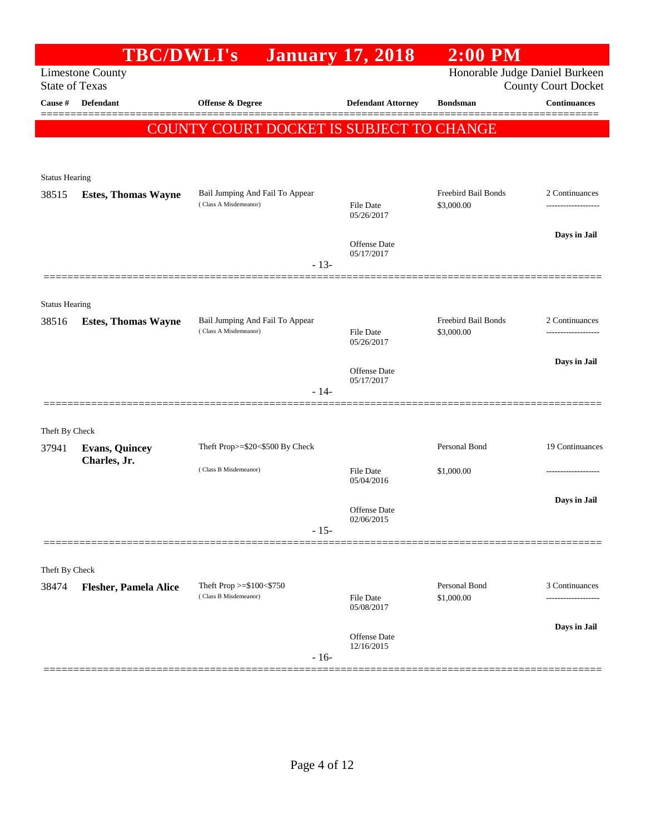|                       | <b>TBC/DWLI's</b>                     |                                                          | <b>January 17, 2018</b>           | $2:00$ PM                         |                            |
|-----------------------|---------------------------------------|----------------------------------------------------------|-----------------------------------|-----------------------------------|----------------------------|
| <b>State of Texas</b> | <b>Limestone County</b>               |                                                          |                                   | Honorable Judge Daniel Burkeen    | <b>County Court Docket</b> |
| Cause #               | <b>Defendant</b>                      | <b>Offense &amp; Degree</b>                              | <b>Defendant Attorney</b>         | <b>Bondsman</b>                   | <b>Continuances</b>        |
|                       |                                       | COUNTY COURT DOCKET IS SUBJECT TO CHANGE                 |                                   |                                   |                            |
|                       |                                       |                                                          |                                   |                                   |                            |
| <b>Status Hearing</b> |                                       |                                                          |                                   |                                   |                            |
| 38515                 | <b>Estes, Thomas Wayne</b>            | Bail Jumping And Fail To Appear<br>(Class A Misdemeanor) | <b>File Date</b>                  | Freebird Bail Bonds<br>\$3,000.00 | 2 Continuances<br>         |
|                       |                                       |                                                          | 05/26/2017                        |                                   |                            |
|                       |                                       |                                                          | Offense Date<br>05/17/2017        |                                   | Days in Jail               |
|                       |                                       | $-13-$                                                   |                                   |                                   |                            |
| <b>Status Hearing</b> |                                       |                                                          |                                   |                                   |                            |
| 38516                 | <b>Estes, Thomas Wayne</b>            | Bail Jumping And Fail To Appear<br>(Class A Misdemeanor) | <b>File Date</b><br>05/26/2017    | Freebird Bail Bonds<br>\$3,000.00 | 2 Continuances<br>.        |
|                       |                                       |                                                          |                                   |                                   | Days in Jail               |
|                       |                                       | $-14-$                                                   | <b>Offense Date</b><br>05/17/2017 |                                   |                            |
|                       |                                       |                                                          |                                   |                                   |                            |
| Theft By Check        |                                       |                                                          |                                   |                                   |                            |
| 37941                 | <b>Evans, Quincey</b><br>Charles, Jr. | Theft Prop>=\$20<\$500 By Check                          |                                   | Personal Bond                     | 19 Continuances            |
|                       |                                       | (Class B Misdemeanor)                                    | <b>File Date</b><br>05/04/2016    | \$1,000.00                        |                            |
|                       |                                       |                                                          | <b>Offense Date</b>               |                                   | Days in Jail               |
|                       |                                       | $-15-$                                                   | 02/06/2015                        |                                   |                            |
|                       |                                       |                                                          |                                   |                                   |                            |
| Theft By Check        |                                       |                                                          |                                   |                                   |                            |
| 38474                 | <b>Flesher, Pamela Alice</b>          | Theft Prop >=\$100<\$750<br>(Class B Misdemeanor)        | <b>File Date</b><br>05/08/2017    | Personal Bond<br>\$1,000.00       | 3 Continuances             |
|                       |                                       |                                                          | Offense Date                      |                                   | Days in Jail               |
|                       |                                       | $-16-$                                                   | 12/16/2015                        |                                   |                            |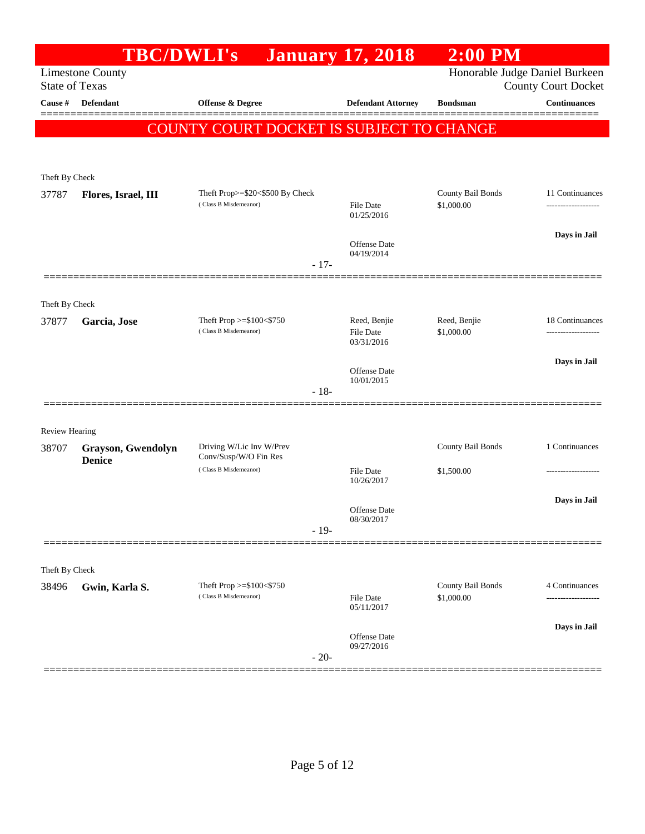|                                | <b>TBC/DWLI's</b>       |                                                   | <b>January 17, 2018</b>        | $2:00$ PM                       |                                       |
|--------------------------------|-------------------------|---------------------------------------------------|--------------------------------|---------------------------------|---------------------------------------|
| <b>State of Texas</b>          | <b>Limestone County</b> |                                                   |                                | Honorable Judge Daniel Burkeen  | <b>County Court Docket</b>            |
| Cause #                        | <b>Defendant</b>        | <b>Offense &amp; Degree</b>                       | <b>Defendant Attorney</b>      | <b>Bondsman</b>                 | <b>Continuances</b>                   |
|                                |                         | COUNTY COURT DOCKET IS SUBJECT TO CHANGE          |                                |                                 |                                       |
|                                |                         |                                                   |                                |                                 |                                       |
| Theft By Check                 |                         |                                                   |                                |                                 |                                       |
| 37787                          | Flores, Israel, III     | Theft Prop>=\$20<\$500 By Check                   |                                | County Bail Bonds               | 11 Continuances                       |
|                                |                         | (Class B Misdemeanor)                             | <b>File Date</b><br>01/25/2016 | \$1,000.00                      | ------------------                    |
|                                |                         |                                                   | Offense Date                   |                                 | Days in Jail                          |
|                                |                         | $-17-$                                            | 04/19/2014                     |                                 |                                       |
|                                |                         |                                                   |                                |                                 |                                       |
| Theft By Check                 |                         |                                                   |                                |                                 |                                       |
| 37877                          | Garcia, Jose            | Theft Prop >=\$100<\$750<br>(Class B Misdemeanor) | Reed, Benjie<br>File Date      | Reed, Benjie<br>\$1,000.00      | 18 Continuances<br>------------------ |
|                                |                         |                                                   | 03/31/2016                     |                                 |                                       |
|                                |                         |                                                   | Offense Date<br>10/01/2015     |                                 | Days in Jail                          |
|                                |                         | $-18-$                                            |                                |                                 |                                       |
|                                |                         |                                                   |                                |                                 |                                       |
| <b>Review Hearing</b><br>38707 | Grayson, Gwendolyn      | Driving W/Lic Inv W/Prev                          |                                | County Bail Bonds               | 1 Continuances                        |
|                                | <b>Denice</b>           | Conv/Susp/W/O Fin Res<br>(Class B Misdemeanor)    |                                |                                 |                                       |
|                                |                         |                                                   | <b>File Date</b><br>10/26/2017 | \$1,500.00                      |                                       |
|                                |                         |                                                   | <b>Offense</b> Date            |                                 | Days in Jail                          |
|                                |                         | $-19-$                                            | 08/30/2017                     |                                 |                                       |
|                                |                         |                                                   |                                |                                 |                                       |
| Theft By Check                 |                         |                                                   |                                |                                 |                                       |
| 38496                          | Gwin, Karla S.          | Theft Prop >=\$100<\$750<br>(Class B Misdemeanor) | <b>File Date</b>               | County Bail Bonds<br>\$1,000.00 | 4 Continuances                        |
|                                |                         |                                                   | 05/11/2017                     |                                 |                                       |
|                                |                         |                                                   | Offense Date<br>09/27/2016     |                                 | Days in Jail                          |
|                                |                         | $-20-$                                            |                                |                                 |                                       |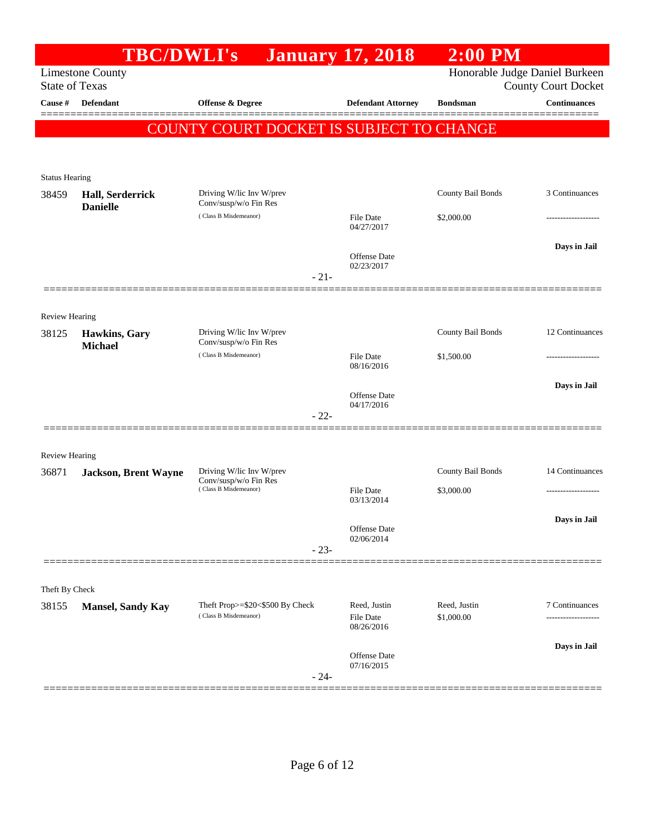| Honorable Judge Daniel Burkeen<br><b>Limestone County</b><br><b>State of Texas</b><br><b>County Court Docket</b><br>Offense & Degree<br><b>Continuances</b><br>Cause #<br>Defendant<br><b>Defendant Attorney</b><br><b>Bondsman</b><br>COUNTY COURT DOCKET IS SUBJECT TO CHANGE<br><b>Status Hearing</b><br>3 Continuances<br>Driving W/lic Inv W/prev<br>County Bail Bonds<br>38459<br>Hall, Serderrick<br>Conv/susp/w/o Fin Res<br><b>Danielle</b><br>(Class B Misdemeanor)<br>File Date<br>\$2,000.00<br>04/27/2017<br>Days in Jail<br>Offense Date<br>02/23/2017<br>$-21-$<br>Review Hearing<br>County Bail Bonds<br>12 Continuances<br>Driving W/lic Inv W/prev<br>Hawkins, Gary<br>38125<br>Conv/susp/w/o Fin Res<br><b>Michael</b><br>(Class B Misdemeanor)<br>File Date<br>\$1,500.00<br>08/16/2016<br>Days in Jail<br>Offense Date<br>04/17/2016<br>$-22-$<br><b>Review Hearing</b><br>County Bail Bonds<br>Driving W/lic Inv W/prev<br>36871<br>Jackson, Brent Wayne<br>Conv/susp/w/o Fin Res<br>(Class B Misdemeanor)<br>\$3,000.00<br>File Date<br>------------------<br>03/13/2014<br>Days in Jail<br>Offense Date<br>02/06/2014<br>$-23-$<br>Theft By Check<br>Theft Prop>=\$20<\$500 By Check<br>Reed, Justin<br>Reed, Justin<br>38155<br><b>Mansel, Sandy Kay</b><br>(Class B Misdemeanor)<br>File Date<br>\$1,000.00<br>08/26/2016<br>Days in Jail<br>Offense Date<br>07/16/2015<br>$-24-$ | <b>TBC/DWLI's</b> | <b>January 17, 2018</b> | $2:00$ PM |                 |
|-------------------------------------------------------------------------------------------------------------------------------------------------------------------------------------------------------------------------------------------------------------------------------------------------------------------------------------------------------------------------------------------------------------------------------------------------------------------------------------------------------------------------------------------------------------------------------------------------------------------------------------------------------------------------------------------------------------------------------------------------------------------------------------------------------------------------------------------------------------------------------------------------------------------------------------------------------------------------------------------------------------------------------------------------------------------------------------------------------------------------------------------------------------------------------------------------------------------------------------------------------------------------------------------------------------------------------------------------------------------------------------------------------------|-------------------|-------------------------|-----------|-----------------|
|                                                                                                                                                                                                                                                                                                                                                                                                                                                                                                                                                                                                                                                                                                                                                                                                                                                                                                                                                                                                                                                                                                                                                                                                                                                                                                                                                                                                             |                   |                         |           |                 |
|                                                                                                                                                                                                                                                                                                                                                                                                                                                                                                                                                                                                                                                                                                                                                                                                                                                                                                                                                                                                                                                                                                                                                                                                                                                                                                                                                                                                             |                   |                         |           |                 |
|                                                                                                                                                                                                                                                                                                                                                                                                                                                                                                                                                                                                                                                                                                                                                                                                                                                                                                                                                                                                                                                                                                                                                                                                                                                                                                                                                                                                             |                   |                         |           |                 |
|                                                                                                                                                                                                                                                                                                                                                                                                                                                                                                                                                                                                                                                                                                                                                                                                                                                                                                                                                                                                                                                                                                                                                                                                                                                                                                                                                                                                             |                   |                         |           |                 |
|                                                                                                                                                                                                                                                                                                                                                                                                                                                                                                                                                                                                                                                                                                                                                                                                                                                                                                                                                                                                                                                                                                                                                                                                                                                                                                                                                                                                             |                   |                         |           |                 |
|                                                                                                                                                                                                                                                                                                                                                                                                                                                                                                                                                                                                                                                                                                                                                                                                                                                                                                                                                                                                                                                                                                                                                                                                                                                                                                                                                                                                             |                   |                         |           |                 |
|                                                                                                                                                                                                                                                                                                                                                                                                                                                                                                                                                                                                                                                                                                                                                                                                                                                                                                                                                                                                                                                                                                                                                                                                                                                                                                                                                                                                             |                   |                         |           |                 |
|                                                                                                                                                                                                                                                                                                                                                                                                                                                                                                                                                                                                                                                                                                                                                                                                                                                                                                                                                                                                                                                                                                                                                                                                                                                                                                                                                                                                             |                   |                         |           |                 |
|                                                                                                                                                                                                                                                                                                                                                                                                                                                                                                                                                                                                                                                                                                                                                                                                                                                                                                                                                                                                                                                                                                                                                                                                                                                                                                                                                                                                             |                   |                         |           |                 |
|                                                                                                                                                                                                                                                                                                                                                                                                                                                                                                                                                                                                                                                                                                                                                                                                                                                                                                                                                                                                                                                                                                                                                                                                                                                                                                                                                                                                             |                   |                         |           |                 |
|                                                                                                                                                                                                                                                                                                                                                                                                                                                                                                                                                                                                                                                                                                                                                                                                                                                                                                                                                                                                                                                                                                                                                                                                                                                                                                                                                                                                             |                   |                         |           |                 |
|                                                                                                                                                                                                                                                                                                                                                                                                                                                                                                                                                                                                                                                                                                                                                                                                                                                                                                                                                                                                                                                                                                                                                                                                                                                                                                                                                                                                             |                   |                         |           |                 |
|                                                                                                                                                                                                                                                                                                                                                                                                                                                                                                                                                                                                                                                                                                                                                                                                                                                                                                                                                                                                                                                                                                                                                                                                                                                                                                                                                                                                             |                   |                         |           |                 |
|                                                                                                                                                                                                                                                                                                                                                                                                                                                                                                                                                                                                                                                                                                                                                                                                                                                                                                                                                                                                                                                                                                                                                                                                                                                                                                                                                                                                             |                   |                         |           |                 |
|                                                                                                                                                                                                                                                                                                                                                                                                                                                                                                                                                                                                                                                                                                                                                                                                                                                                                                                                                                                                                                                                                                                                                                                                                                                                                                                                                                                                             |                   |                         |           |                 |
|                                                                                                                                                                                                                                                                                                                                                                                                                                                                                                                                                                                                                                                                                                                                                                                                                                                                                                                                                                                                                                                                                                                                                                                                                                                                                                                                                                                                             |                   |                         |           |                 |
|                                                                                                                                                                                                                                                                                                                                                                                                                                                                                                                                                                                                                                                                                                                                                                                                                                                                                                                                                                                                                                                                                                                                                                                                                                                                                                                                                                                                             |                   |                         |           |                 |
|                                                                                                                                                                                                                                                                                                                                                                                                                                                                                                                                                                                                                                                                                                                                                                                                                                                                                                                                                                                                                                                                                                                                                                                                                                                                                                                                                                                                             |                   |                         |           |                 |
|                                                                                                                                                                                                                                                                                                                                                                                                                                                                                                                                                                                                                                                                                                                                                                                                                                                                                                                                                                                                                                                                                                                                                                                                                                                                                                                                                                                                             |                   |                         |           |                 |
|                                                                                                                                                                                                                                                                                                                                                                                                                                                                                                                                                                                                                                                                                                                                                                                                                                                                                                                                                                                                                                                                                                                                                                                                                                                                                                                                                                                                             |                   |                         |           |                 |
|                                                                                                                                                                                                                                                                                                                                                                                                                                                                                                                                                                                                                                                                                                                                                                                                                                                                                                                                                                                                                                                                                                                                                                                                                                                                                                                                                                                                             |                   |                         |           |                 |
|                                                                                                                                                                                                                                                                                                                                                                                                                                                                                                                                                                                                                                                                                                                                                                                                                                                                                                                                                                                                                                                                                                                                                                                                                                                                                                                                                                                                             |                   |                         |           | 14 Continuances |
|                                                                                                                                                                                                                                                                                                                                                                                                                                                                                                                                                                                                                                                                                                                                                                                                                                                                                                                                                                                                                                                                                                                                                                                                                                                                                                                                                                                                             |                   |                         |           |                 |
|                                                                                                                                                                                                                                                                                                                                                                                                                                                                                                                                                                                                                                                                                                                                                                                                                                                                                                                                                                                                                                                                                                                                                                                                                                                                                                                                                                                                             |                   |                         |           |                 |
|                                                                                                                                                                                                                                                                                                                                                                                                                                                                                                                                                                                                                                                                                                                                                                                                                                                                                                                                                                                                                                                                                                                                                                                                                                                                                                                                                                                                             |                   |                         |           |                 |
|                                                                                                                                                                                                                                                                                                                                                                                                                                                                                                                                                                                                                                                                                                                                                                                                                                                                                                                                                                                                                                                                                                                                                                                                                                                                                                                                                                                                             |                   |                         |           |                 |
|                                                                                                                                                                                                                                                                                                                                                                                                                                                                                                                                                                                                                                                                                                                                                                                                                                                                                                                                                                                                                                                                                                                                                                                                                                                                                                                                                                                                             |                   |                         |           |                 |
|                                                                                                                                                                                                                                                                                                                                                                                                                                                                                                                                                                                                                                                                                                                                                                                                                                                                                                                                                                                                                                                                                                                                                                                                                                                                                                                                                                                                             |                   |                         |           |                 |
|                                                                                                                                                                                                                                                                                                                                                                                                                                                                                                                                                                                                                                                                                                                                                                                                                                                                                                                                                                                                                                                                                                                                                                                                                                                                                                                                                                                                             |                   |                         |           | 7 Continuances  |
|                                                                                                                                                                                                                                                                                                                                                                                                                                                                                                                                                                                                                                                                                                                                                                                                                                                                                                                                                                                                                                                                                                                                                                                                                                                                                                                                                                                                             |                   |                         |           |                 |
|                                                                                                                                                                                                                                                                                                                                                                                                                                                                                                                                                                                                                                                                                                                                                                                                                                                                                                                                                                                                                                                                                                                                                                                                                                                                                                                                                                                                             |                   |                         |           |                 |
|                                                                                                                                                                                                                                                                                                                                                                                                                                                                                                                                                                                                                                                                                                                                                                                                                                                                                                                                                                                                                                                                                                                                                                                                                                                                                                                                                                                                             |                   |                         |           |                 |
|                                                                                                                                                                                                                                                                                                                                                                                                                                                                                                                                                                                                                                                                                                                                                                                                                                                                                                                                                                                                                                                                                                                                                                                                                                                                                                                                                                                                             |                   |                         |           |                 |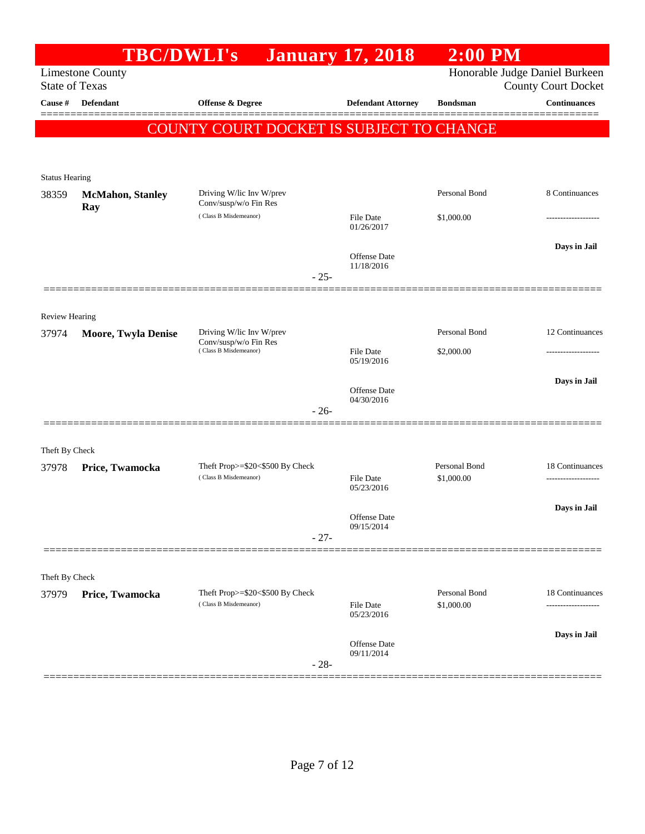|                         | <b>TBC/DWLI's</b>          |                                                          | <b>January 17, 2018</b>    | $2:00$ PM                   |                                     |
|-------------------------|----------------------------|----------------------------------------------------------|----------------------------|-----------------------------|-------------------------------------|
|                         | <b>Limestone County</b>    |                                                          |                            |                             | Honorable Judge Daniel Burkeen      |
| <b>State of Texas</b>   |                            |                                                          |                            |                             | <b>County Court Docket</b>          |
| Cause #                 | Defendant                  | Offense & Degree                                         | <b>Defendant Attorney</b>  | <b>Bondsman</b>             | <b>Continuances</b>                 |
|                         |                            | COUNTY COURT DOCKET IS SUBJECT TO CHANGE                 |                            |                             |                                     |
|                         |                            |                                                          |                            |                             |                                     |
| <b>Status Hearing</b>   |                            |                                                          |                            |                             |                                     |
| 38359                   | <b>McMahon</b> , Stanley   | Driving W/lic Inv W/prev                                 |                            | Personal Bond               | 8 Continuances                      |
|                         | Ray                        | Conv/susp/w/o Fin Res<br>(Class B Misdemeanor)           |                            |                             |                                     |
|                         |                            |                                                          | File Date<br>01/26/2017    | \$1,000.00                  |                                     |
|                         |                            |                                                          |                            |                             | Days in Jail                        |
|                         |                            |                                                          | Offense Date<br>11/18/2016 |                             |                                     |
|                         |                            | $-25-$                                                   |                            |                             |                                     |
|                         |                            |                                                          |                            |                             |                                     |
| <b>Review Hearing</b>   |                            |                                                          |                            |                             |                                     |
| 37974                   | <b>Moore, Twyla Denise</b> | Driving W/lic Inv W/prev<br>Conv/susp/w/o Fin Res        |                            | Personal Bond               | 12 Continuances                     |
|                         |                            | (Class B Misdemeanor)                                    | File Date<br>05/19/2016    | \$2,000.00                  | --------------                      |
|                         |                            |                                                          |                            |                             | Days in Jail                        |
|                         |                            |                                                          | Offense Date<br>04/30/2016 |                             |                                     |
|                         |                            | $-26-$                                                   |                            |                             |                                     |
|                         |                            |                                                          |                            |                             |                                     |
| Theft By Check          |                            |                                                          |                            |                             |                                     |
| 37978                   | Price, Twamocka            | Theft Prop>=\$20<\$500 By Check<br>(Class B Misdemeanor) | File Date                  | Personal Bond<br>\$1,000.00 | 18 Continuances<br>---------------- |
|                         |                            |                                                          | 05/23/2016                 |                             |                                     |
|                         |                            |                                                          | Offense Date               |                             | Days in Jail                        |
|                         |                            | $-27-$                                                   | 09/15/2014                 |                             |                                     |
|                         |                            |                                                          |                            |                             |                                     |
|                         |                            |                                                          |                            |                             |                                     |
| Theft By Check<br>37979 | Price, Twamocka            | Theft Prop>=\$20<\$500 By Check                          |                            | Personal Bond               | 18 Continuances                     |
|                         |                            | (Class B Misdemeanor)                                    | File Date                  | \$1,000.00                  | -------------------                 |
|                         |                            |                                                          | 05/23/2016                 |                             |                                     |
|                         |                            |                                                          | Offense Date               |                             | Days in Jail                        |
|                         |                            | $-28-$                                                   | 09/11/2014                 |                             |                                     |
|                         |                            |                                                          |                            |                             |                                     |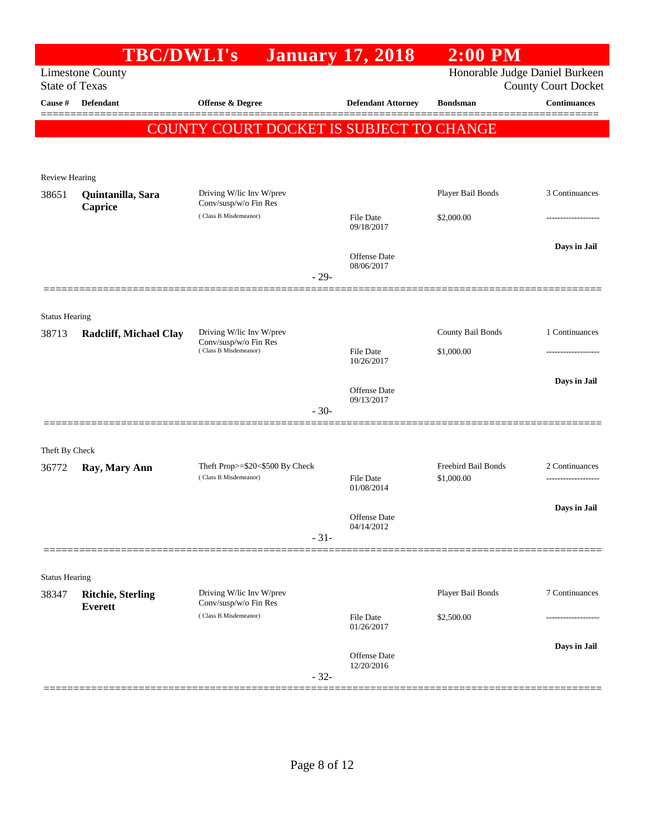|                                | <b>TBC/DWLI's</b>                          |                                                                            |        | <b>January 17, 2018</b>                  | $2:00$ PM                         |                                       |
|--------------------------------|--------------------------------------------|----------------------------------------------------------------------------|--------|------------------------------------------|-----------------------------------|---------------------------------------|
| <b>State of Texas</b>          | <b>Limestone County</b>                    |                                                                            |        |                                          | Honorable Judge Daniel Burkeen    | <b>County Court Docket</b>            |
| Cause #                        | <b>Defendant</b>                           | <b>Offense &amp; Degree</b>                                                |        | <b>Defendant Attorney</b>                | <b>Bondsman</b>                   | <b>Continuances</b>                   |
|                                |                                            | COUNTY COURT DOCKET IS SUBJECT TO CHANGE                                   |        |                                          |                                   |                                       |
| Review Hearing                 |                                            |                                                                            |        |                                          |                                   |                                       |
| 38651                          | Quintanilla, Sara                          | Driving W/lic Inv W/prev<br>Conv/susp/w/o Fin Res                          |        |                                          | Player Bail Bonds                 | 3 Continuances                        |
|                                | Caprice                                    | (Class B Misdemeanor)                                                      |        | <b>File Date</b><br>09/18/2017           | \$2,000.00                        | -----------------                     |
|                                |                                            |                                                                            | $-29-$ | Offense Date<br>08/06/2017               |                                   | Days in Jail                          |
|                                |                                            |                                                                            |        |                                          |                                   |                                       |
| <b>Status Hearing</b><br>38713 | <b>Radcliff, Michael Clay</b>              | Driving W/lic Inv W/prev<br>Conv/susp/w/o Fin Res<br>(Class B Misdemeanor) |        | <b>File Date</b>                         | County Bail Bonds<br>\$1,000.00   | 1 Continuances<br>                    |
|                                |                                            |                                                                            | $-30-$ | 10/26/2017<br>Offense Date<br>09/13/2017 |                                   | Days in Jail                          |
|                                |                                            |                                                                            |        |                                          |                                   |                                       |
| Theft By Check<br>36772        | Ray, Mary Ann                              | Theft Prop>=\$20<\$500 By Check<br>(Class B Misdemeanor)                   |        | <b>File Date</b><br>01/08/2014           | Freebird Bail Bonds<br>\$1,000.00 | 2 Continuances<br>------------------- |
|                                |                                            |                                                                            | $-31-$ | Offense Date<br>04/14/2012               |                                   | Days in Jail                          |
|                                |                                            |                                                                            |        |                                          |                                   |                                       |
| <b>Status Hearing</b>          |                                            |                                                                            |        |                                          |                                   |                                       |
| 38347                          | <b>Ritchie, Sterling</b><br><b>Everett</b> | Driving W/lic Inv W/prev<br>Conv/susp/w/o Fin Res<br>(Class B Misdemeanor) |        | <b>File Date</b><br>01/26/2017           | Player Bail Bonds<br>\$2,500.00   | 7 Continuances<br>.                   |
|                                |                                            |                                                                            | $-32-$ | Offense Date<br>12/20/2016               |                                   | Days in Jail                          |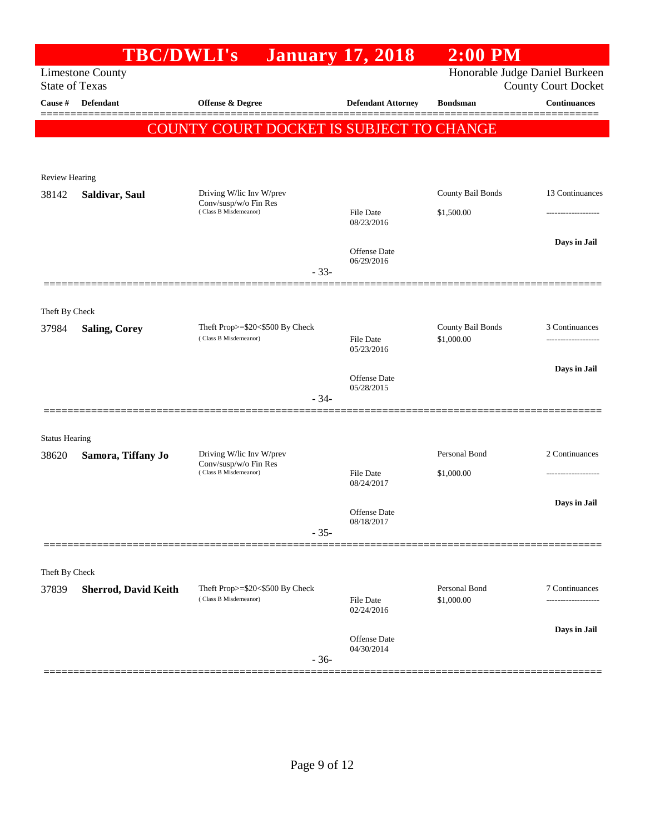|                       | <b>TBC/DWLI's</b>           |                                                          | <b>January 17, 2018</b>        | $2:00$ PM                   |                                                              |
|-----------------------|-----------------------------|----------------------------------------------------------|--------------------------------|-----------------------------|--------------------------------------------------------------|
| <b>State of Texas</b> | <b>Limestone County</b>     |                                                          |                                |                             | Honorable Judge Daniel Burkeen<br><b>County Court Docket</b> |
| Cause #               | <b>Defendant</b>            | Offense & Degree                                         | <b>Defendant Attorney</b>      | <b>Bondsman</b>             | <b>Continuances</b>                                          |
|                       |                             | COUNTY COURT DOCKET IS SUBJECT TO CHANGE                 |                                |                             |                                                              |
|                       |                             |                                                          |                                |                             |                                                              |
| <b>Review Hearing</b> |                             |                                                          |                                |                             |                                                              |
| 38142                 | Saldivar, Saul              | Driving W/lic Inv W/prev<br>Conv/susp/w/o Fin Res        |                                | County Bail Bonds           | 13 Continuances                                              |
|                       |                             | (Class B Misdemeanor)                                    | <b>File Date</b><br>08/23/2016 | \$1,500.00                  |                                                              |
|                       |                             |                                                          |                                |                             | Days in Jail                                                 |
|                       |                             |                                                          | Offense Date<br>06/29/2016     |                             |                                                              |
|                       |                             | $-33-$                                                   |                                |                             |                                                              |
| Theft By Check        |                             |                                                          |                                |                             |                                                              |
| 37984                 | <b>Saling, Corey</b>        | Theft Prop>=\$20<\$500 By Check                          |                                | County Bail Bonds           | 3 Continuances                                               |
|                       |                             | (Class B Misdemeanor)                                    | <b>File Date</b><br>05/23/2016 | \$1,000.00                  | ------------------                                           |
|                       |                             |                                                          | Offense Date                   |                             | Days in Jail                                                 |
|                       |                             | $-34-$                                                   | 05/28/2015                     |                             |                                                              |
|                       |                             |                                                          |                                |                             |                                                              |
| <b>Status Hearing</b> |                             |                                                          |                                |                             |                                                              |
| 38620                 | Samora, Tiffany Jo          | Driving W/lic Inv W/prev<br>Conv/susp/w/o Fin Res        |                                | Personal Bond               | 2 Continuances                                               |
|                       |                             | (Class B Misdemeanor)                                    | <b>File Date</b><br>08/24/2017 | \$1,000.00                  |                                                              |
|                       |                             |                                                          | <b>Offense</b> Date            |                             | Days in Jail                                                 |
|                       |                             | $-35-$                                                   | 08/18/2017                     |                             |                                                              |
|                       |                             |                                                          |                                |                             |                                                              |
| Theft By Check        |                             |                                                          |                                |                             |                                                              |
| 37839                 | <b>Sherrod, David Keith</b> | Theft Prop>=\$20<\$500 By Check<br>(Class B Misdemeanor) | <b>File Date</b>               | Personal Bond<br>\$1,000.00 | 7 Continuances                                               |
|                       |                             |                                                          | 02/24/2016                     |                             |                                                              |
|                       |                             |                                                          | Offense Date                   |                             | Days in Jail                                                 |
|                       |                             | $-36-$                                                   | 04/30/2014                     |                             |                                                              |
|                       |                             |                                                          |                                |                             |                                                              |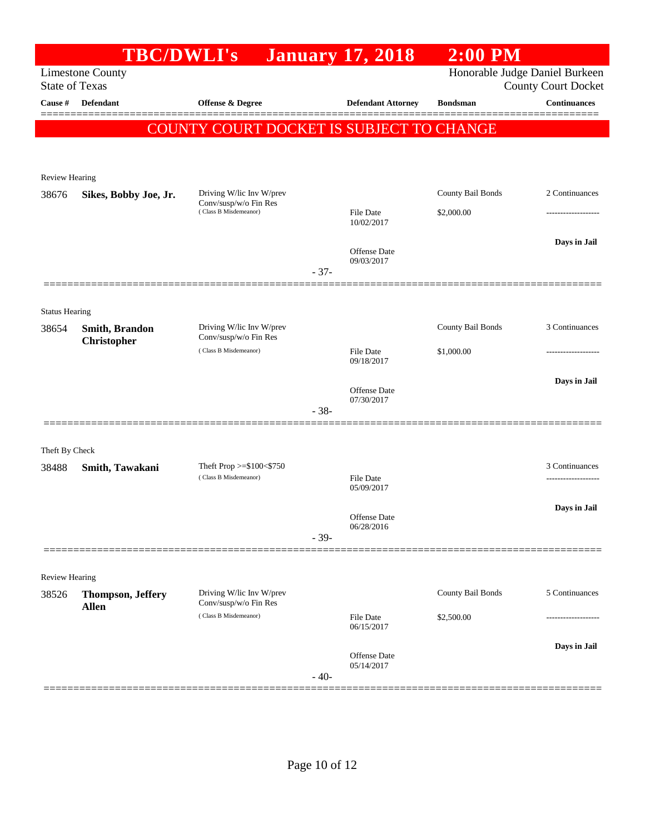|                                | <b>TBC/DWLI's</b>                        |                                                   |        | <b>January 17, 2018</b>        | $2:00$ PM         |                                                              |
|--------------------------------|------------------------------------------|---------------------------------------------------|--------|--------------------------------|-------------------|--------------------------------------------------------------|
| <b>State of Texas</b>          | <b>Limestone County</b>                  |                                                   |        |                                |                   | Honorable Judge Daniel Burkeen<br><b>County Court Docket</b> |
| Cause #                        | <b>Defendant</b>                         | <b>Offense &amp; Degree</b>                       |        | <b>Defendant Attorney</b>      | <b>Bondsman</b>   | <b>Continuances</b>                                          |
|                                |                                          | COUNTY COURT DOCKET IS SUBJECT TO CHANGE          |        |                                |                   |                                                              |
|                                |                                          |                                                   |        |                                |                   |                                                              |
| <b>Review Hearing</b>          |                                          |                                                   |        |                                |                   |                                                              |
| 38676                          | Sikes, Bobby Joe, Jr.                    | Driving W/lic Inv W/prev                          |        |                                | County Bail Bonds | 2 Continuances                                               |
|                                |                                          | Conv/susp/w/o Fin Res<br>(Class B Misdemeanor)    |        | <b>File Date</b>               | \$2,000.00        | ------------------                                           |
|                                |                                          |                                                   |        | 10/02/2017                     |                   |                                                              |
|                                |                                          |                                                   |        | Offense Date                   |                   | Days in Jail                                                 |
|                                |                                          |                                                   | $-37-$ | 09/03/2017                     |                   |                                                              |
|                                |                                          |                                                   |        |                                |                   |                                                              |
| <b>Status Hearing</b>          |                                          |                                                   |        |                                |                   |                                                              |
| 38654                          | <b>Smith, Brandon</b>                    | Driving W/lic Inv W/prev<br>Conv/susp/w/o Fin Res |        |                                | County Bail Bonds | 3 Continuances                                               |
|                                | <b>Christopher</b>                       | (Class B Misdemeanor)                             |        | <b>File Date</b>               | \$1,000.00        | .                                                            |
|                                |                                          |                                                   |        | 09/18/2017                     |                   |                                                              |
|                                |                                          |                                                   |        | Offense Date                   |                   | Days in Jail                                                 |
|                                |                                          |                                                   | $-38-$ | 07/30/2017                     |                   |                                                              |
|                                |                                          |                                                   |        |                                |                   |                                                              |
| Theft By Check                 |                                          |                                                   |        |                                |                   |                                                              |
| 38488                          | Smith, Tawakani                          | Theft Prop $>=$ \$100 $<$ \$750                   |        |                                |                   | 3 Continuances                                               |
|                                |                                          | (Class B Misdemeanor)                             |        | <b>File Date</b><br>05/09/2017 |                   | .                                                            |
|                                |                                          |                                                   |        |                                |                   | Days in Jail                                                 |
|                                |                                          |                                                   |        | Offense Date<br>06/28/2016     |                   |                                                              |
|                                |                                          |                                                   | $-39-$ |                                |                   |                                                              |
|                                |                                          |                                                   |        |                                |                   |                                                              |
| <b>Review Hearing</b><br>38526 |                                          | Driving W/lic Inv W/prev                          |        |                                | County Bail Bonds | 5 Continuances                                               |
|                                | <b>Thompson, Jeffery</b><br><b>Allen</b> | Conv/susp/w/o Fin Res                             |        |                                |                   |                                                              |
|                                |                                          | (Class B Misdemeanor)                             |        | File Date<br>06/15/2017        | \$2,500.00        | .                                                            |
|                                |                                          |                                                   |        |                                |                   | Days in Jail                                                 |
|                                |                                          |                                                   |        | Offense Date<br>05/14/2017     |                   |                                                              |
|                                |                                          |                                                   | $-40-$ |                                |                   |                                                              |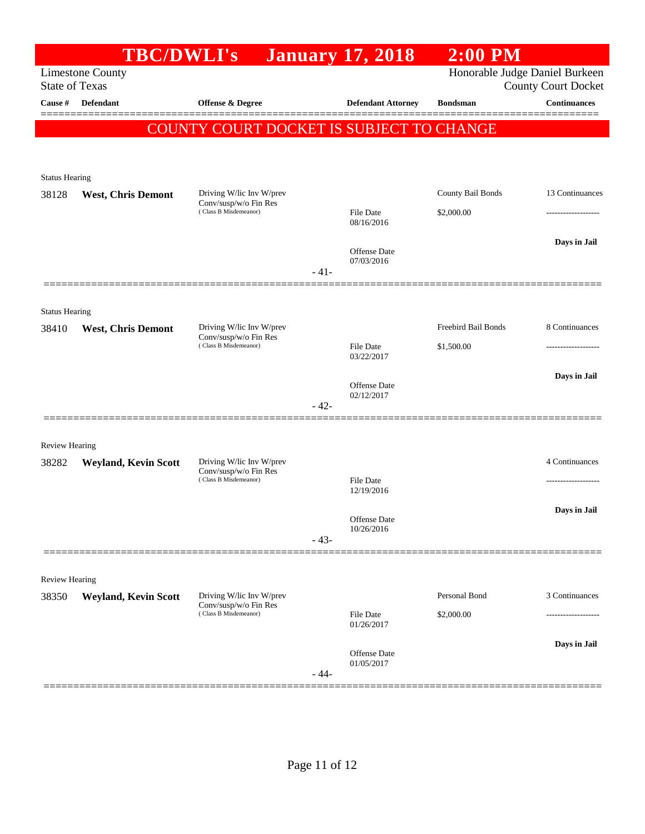|                                | <b>TBC/DWLI's</b>                                |                                                                            |        | <b>January 17, 2018</b>           | $2:00$ PM                      |                                     |
|--------------------------------|--------------------------------------------------|----------------------------------------------------------------------------|--------|-----------------------------------|--------------------------------|-------------------------------------|
|                                | <b>Limestone County</b><br><b>State of Texas</b> |                                                                            |        |                                   | Honorable Judge Daniel Burkeen | <b>County Court Docket</b>          |
| Cause #                        | <b>Defendant</b>                                 | <b>Offense &amp; Degree</b>                                                |        | <b>Defendant Attorney</b>         | <b>Bondsman</b>                | <b>Continuances</b>                 |
|                                |                                                  | COUNTY COURT DOCKET IS SUBJECT TO CHANGE                                   |        |                                   |                                |                                     |
|                                |                                                  |                                                                            |        |                                   |                                |                                     |
| <b>Status Hearing</b>          |                                                  |                                                                            |        |                                   |                                |                                     |
| 38128                          | <b>West, Chris Demont</b>                        | Driving W/lic Inv W/prev<br>Conv/susp/w/o Fin Res<br>(Class B Misdemeanor) |        |                                   | County Bail Bonds              | 13 Continuances                     |
|                                |                                                  |                                                                            |        | <b>File Date</b><br>08/16/2016    | \$2,000.00                     |                                     |
|                                |                                                  |                                                                            |        | <b>Offense Date</b>               |                                | Days in Jail                        |
|                                |                                                  |                                                                            | $-41-$ | 07/03/2016                        |                                |                                     |
|                                |                                                  |                                                                            |        |                                   |                                |                                     |
| <b>Status Hearing</b><br>38410 | <b>West, Chris Demont</b>                        | Driving W/lic Inv W/prev                                                   |        |                                   | Freebird Bail Bonds            | 8 Continuances                      |
|                                |                                                  | Conv/susp/w/o Fin Res<br>(Class B Misdemeanor)                             |        | <b>File Date</b>                  | \$1,500.00                     |                                     |
|                                |                                                  |                                                                            |        | 03/22/2017                        |                                | Days in Jail                        |
|                                |                                                  |                                                                            |        | <b>Offense Date</b><br>02/12/2017 |                                |                                     |
|                                |                                                  |                                                                            | $-42-$ |                                   |                                |                                     |
| <b>Review Hearing</b>          |                                                  |                                                                            |        |                                   |                                |                                     |
| 38282                          | <b>Weyland, Kevin Scott</b>                      | Driving W/lic Inv W/prev<br>Conv/susp/w/o Fin Res                          |        |                                   |                                | 4 Continuances                      |
|                                |                                                  | (Class B Misdemeanor)                                                      |        | File Date<br>12/19/2016           |                                | .                                   |
|                                |                                                  |                                                                            |        | Offense Date                      |                                | Days in Jail                        |
|                                |                                                  |                                                                            | $-43-$ | 10/26/2016                        |                                |                                     |
|                                |                                                  |                                                                            |        |                                   |                                |                                     |
| <b>Review Hearing</b>          |                                                  |                                                                            |        |                                   |                                |                                     |
| 38350                          | <b>Weyland, Kevin Scott</b>                      | Driving W/lic Inv W/prev<br>Conv/susp/w/o Fin Res<br>(Class B Misdemeanor) |        | <b>File Date</b>                  | Personal Bond<br>\$2,000.00    | 3 Continuances<br>----------------- |
|                                |                                                  |                                                                            |        | 01/26/2017                        |                                |                                     |
|                                |                                                  |                                                                            |        | <b>Offense Date</b><br>01/05/2017 |                                | Days in Jail                        |
|                                |                                                  |                                                                            | $-44-$ |                                   |                                |                                     |